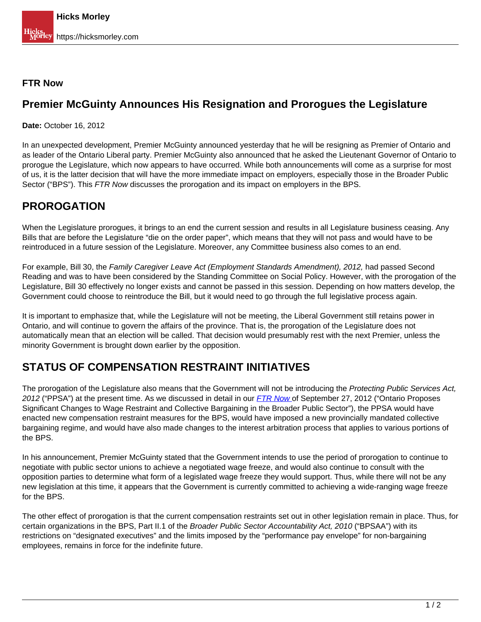#### **FTR Now**

#### **Premier McGuinty Announces His Resignation and Prorogues the Legislature**

**Date:** October 16, 2012

In an unexpected development, Premier McGuinty announced yesterday that he will be resigning as Premier of Ontario and as leader of the Ontario Liberal party. Premier McGuinty also announced that he asked the Lieutenant Governor of Ontario to prorogue the Legislature, which now appears to have occurred. While both announcements will come as a surprise for most of us, it is the latter decision that will have the more immediate impact on employers, especially those in the Broader Public Sector ("BPS"). This FTR Now discusses the prorogation and its impact on employers in the BPS.

## **PROROGATION**

When the Legislature prorogues, it brings to an end the current session and results in all Legislature business ceasing. Any Bills that are before the Legislature "die on the order paper", which means that they will not pass and would have to be reintroduced in a future session of the Legislature. Moreover, any Committee business also comes to an end.

For example, Bill 30, the Family Caregiver Leave Act (Employment Standards Amendment), 2012, had passed Second Reading and was to have been considered by the Standing Committee on Social Policy. However, with the prorogation of the Legislature, Bill 30 effectively no longer exists and cannot be passed in this session. Depending on how matters develop, the Government could choose to reintroduce the Bill, but it would need to go through the full legislative process again.

It is important to emphasize that, while the Legislature will not be meeting, the Liberal Government still retains power in Ontario, and will continue to govern the affairs of the province. That is, the prorogation of the Legislature does not automatically mean that an election will be called. That decision would presumably rest with the next Premier, unless the minority Government is brought down earlier by the opposition.

### **STATUS OF COMPENSATION RESTRAINT INITIATIVES**

The prorogation of the Legislature also means that the Government will not be introducing the Protecting Public Services Act, 2012 ("PPSA") at the present time. As we discussed in detail in our [FTR Now](https://hicksmorley.com/2012/09/27/ontario-proposes-significant-changes-to-wage-restraint-and-collective-bargaining-in-the-broader-public-sector/) [o](https://hicksmorley.com/2012/09/27/ontario-proposes-significant-changes-to-wage-restraint-and-collective-bargaining-in-the-broader-public-sector/)f September 27, 2012 ("Ontario Proposes Significant Changes to Wage Restraint and Collective Bargaining in the Broader Public Sector"), the PPSA would have enacted new compensation restraint measures for the BPS, would have imposed a new provincially mandated collective bargaining regime, and would have also made changes to the interest arbitration process that applies to various portions of the BPS.

In his announcement, Premier McGuinty stated that the Government intends to use the period of prorogation to continue to negotiate with public sector unions to achieve a negotiated wage freeze, and would also continue to consult with the opposition parties to determine what form of a legislated wage freeze they would support. Thus, while there will not be any new legislation at this time, it appears that the Government is currently committed to achieving a wide-ranging wage freeze for the BPS.

The other effect of prorogation is that the current compensation restraints set out in other legislation remain in place. Thus, for certain organizations in the BPS, Part II.1 of the Broader Public Sector Accountability Act, 2010 ("BPSAA") with its restrictions on "designated executives" and the limits imposed by the "performance pay envelope" for non-bargaining employees, remains in force for the indefinite future.